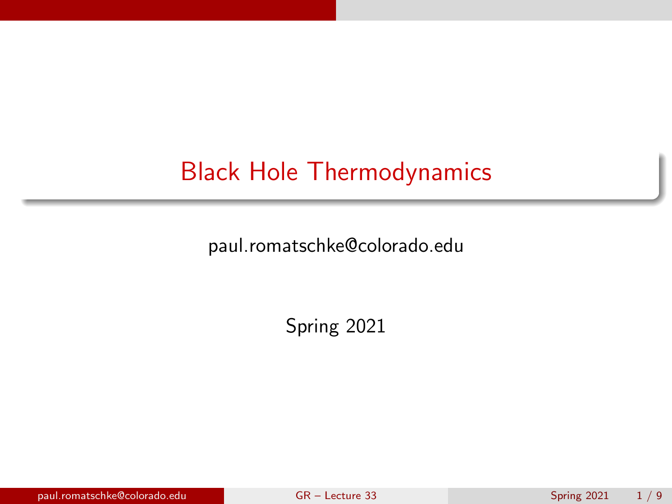# <span id="page-0-0"></span>Black Hole Thermodynamics

paul.romatschke@colorado.edu

Spring 2021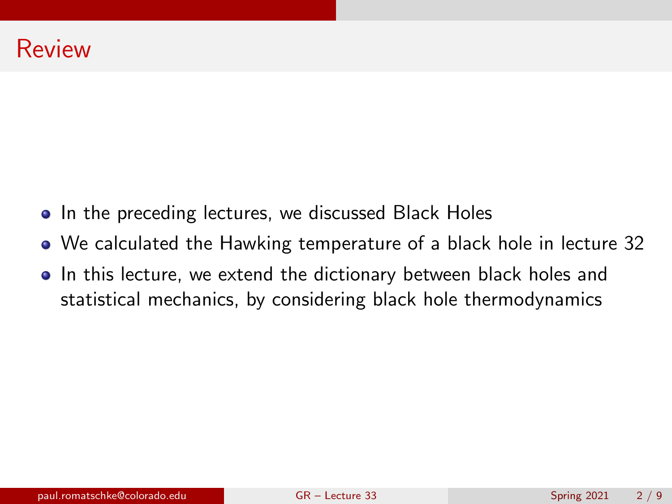- In the preceding lectures, we discussed Black Holes
- We calculated the Hawking temperature of a black hole in lecture 32
- In this lecture, we extend the dictionary between black holes and statistical mechanics, by considering black hole thermodynamics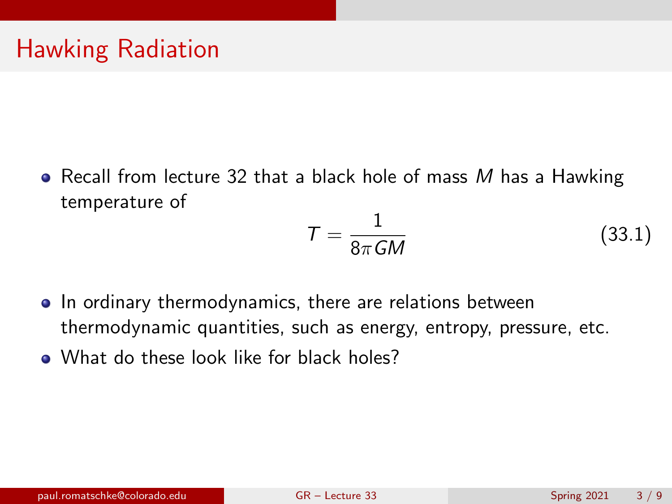• Recall from lecture 32 that a black hole of mass  $M$  has a Hawking temperature of

<span id="page-2-0"></span>
$$
T = \frac{1}{8\pi G M} \tag{33.1}
$$

- In ordinary thermodynamics, there are relations between thermodynamic quantities, such as energy, entropy, pressure, etc.
- What do these look like for black holes?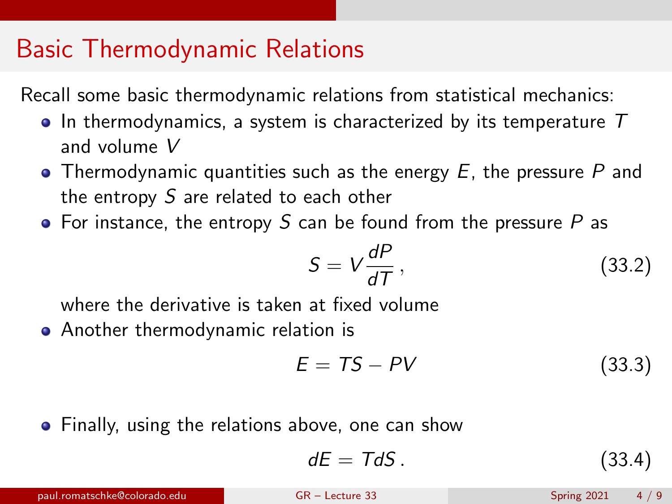## Basic Thermodynamic Relations

Recall some basic thermodynamic relations from statistical mechanics:

- $\bullet$  In thermodynamics, a system is characterized by its temperature  $T$ and volume V
- Thermodynamic quantities such as the energy  $E$ , the pressure P and the entropy S are related to each other
- For instance, the entropy S can be found from the pressure  $P$  as

$$
S = V \frac{dP}{dT}, \qquad (33.2)
$$

where the derivative is taken at fixed volume

Another thermodynamic relation is

$$
E = TS - PV \tag{33.3}
$$

• Finally, using the relations above, one can show

$$
dE = TdS. \tag{33.4}
$$

paul.romatschke@colorado.edu [GR – Lecture 33](#page-0-0) Spring 2021 4 / 9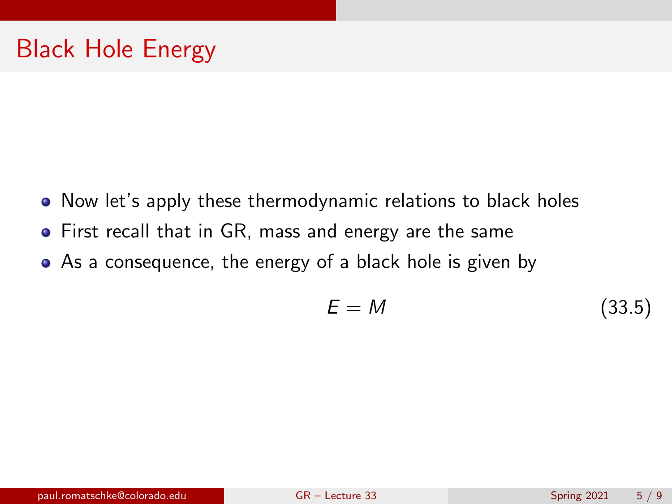- Now let's apply these thermodynamic relations to black holes
- First recall that in GR, mass and energy are the same
- As a consequence, the energy of a black hole is given by

$$
E = M \tag{33.5}
$$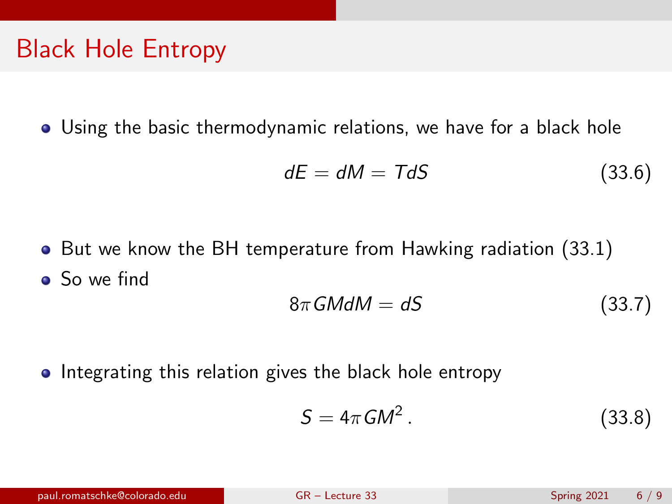## Black Hole Entropy

Using the basic thermodynamic relations, we have for a black hole

$$
dE = dM = TdS \tag{33.6}
$$

• But we know the BH temperature from Hawking radiation [\(33.1\)](#page-2-0) • So we find

$$
8\pi GMdM = dS \tag{33.7}
$$

• Integrating this relation gives the black hole entropy

$$
S = 4\pi GM^2. \tag{33.8}
$$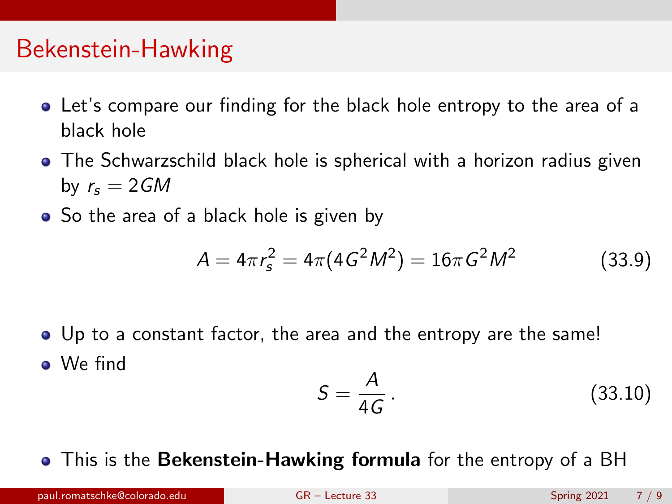#### Bekenstein-Hawking

- Let's compare our finding for the black hole entropy to the area of a black hole
- The Schwarzschild black hole is spherical with a horizon radius given by  $r_s = 2GM$
- So the area of a black hole is given by

$$
A = 4\pi r_s^2 = 4\pi (4G^2M^2) = 16\pi G^2M^2 \tag{33.9}
$$

Up to a constant factor, the area and the entropy are the same! We find

$$
S = \frac{A}{4G} \,. \tag{33.10}
$$

• This is the Bekenstein-Hawking formula for the entropy of a BH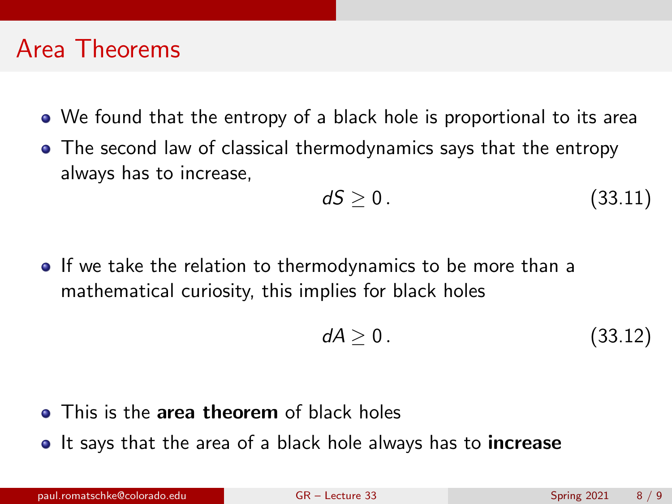#### Area Theorems

- We found that the entropy of a black hole is proportional to its area
- The second law of classical thermodynamics says that the entropy always has to increase,

$$
dS \geq 0. \tag{33.11}
$$

**If we take the relation to thermodynamics to be more than a** mathematical curiosity, this implies for black holes

$$
dA \geq 0. \tag{33.12}
$$

- This is the area theorem of black holes
- It says that the area of a black hole always has to **increase**